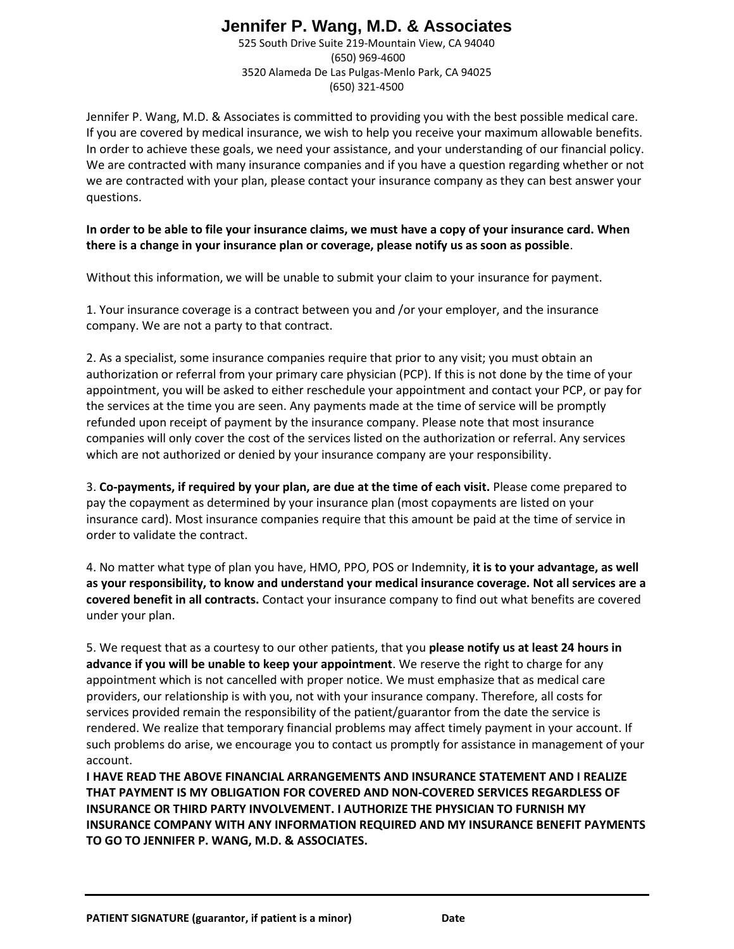# **Jennifer P. Wang, M.D. & Associates**

525 South Drive Suite 219-Mountain View, CA 94040 (650) 969-4600 3520 Alameda De Las Pulgas-Menlo Park, CA 94025 (650) 321-4500

Jennifer P. Wang, M.D. & Associates is committed to providing you with the best possible medical care. If you are covered by medical insurance, we wish to help you receive your maximum allowable benefits. In order to achieve these goals, we need your assistance, and your understanding of our financial policy. We are contracted with many insurance companies and if you have a question regarding whether or not we are contracted with your plan, please contact your insurance company as they can best answer your questions.

**In order to be able to file your insurance claims, we must have a copy of your insurance card. When there is a change in your insurance plan or coverage, please notify us as soon as possible**.

Without this information, we will be unable to submit your claim to your insurance for payment.

1. Your insurance coverage is a contract between you and /or your employer, and the insurance company. We are not a party to that contract.

2. As a specialist, some insurance companies require that prior to any visit; you must obtain an authorization or referral from your primary care physician (PCP). If this is not done by the time of your appointment, you will be asked to either reschedule your appointment and contact your PCP, or pay for the services at the time you are seen. Any payments made at the time of service will be promptly refunded upon receipt of payment by the insurance company. Please note that most insurance companies will only cover the cost of the services listed on the authorization or referral. Any services which are not authorized or denied by your insurance company are your responsibility.

3. **Co-payments, if required by your plan, are due at the time of each visit.** Please come prepared to pay the copayment as determined by your insurance plan (most copayments are listed on your insurance card). Most insurance companies require that this amount be paid at the time of service in order to validate the contract.

4. No matter what type of plan you have, HMO, PPO, POS or Indemnity, **it is to your advantage, as well as your responsibility, to know and understand your medical insurance coverage. Not all services are a covered benefit in all contracts.** Contact your insurance company to find out what benefits are covered under your plan.

5. We request that as a courtesy to our other patients, that you **please notify us at least 24 hours in advance if you will be unable to keep your appointment**. We reserve the right to charge for any appointment which is not cancelled with proper notice. We must emphasize that as medical care providers, our relationship is with you, not with your insurance company. Therefore, all costs for services provided remain the responsibility of the patient/guarantor from the date the service is rendered. We realize that temporary financial problems may affect timely payment in your account. If such problems do arise, we encourage you to contact us promptly for assistance in management of your account.

**I HAVE READ THE ABOVE FINANCIAL ARRANGEMENTS AND INSURANCE STATEMENT AND I REALIZE THAT PAYMENT IS MY OBLIGATION FOR COVERED AND NON-COVERED SERVICES REGARDLESS OF INSURANCE OR THIRD PARTY INVOLVEMENT. I AUTHORIZE THE PHYSICIAN TO FURNISH MY INSURANCE COMPANY WITH ANY INFORMATION REQUIRED AND MY INSURANCE BENEFIT PAYMENTS TO GO TO JENNIFER P. WANG, M.D. & ASSOCIATES.**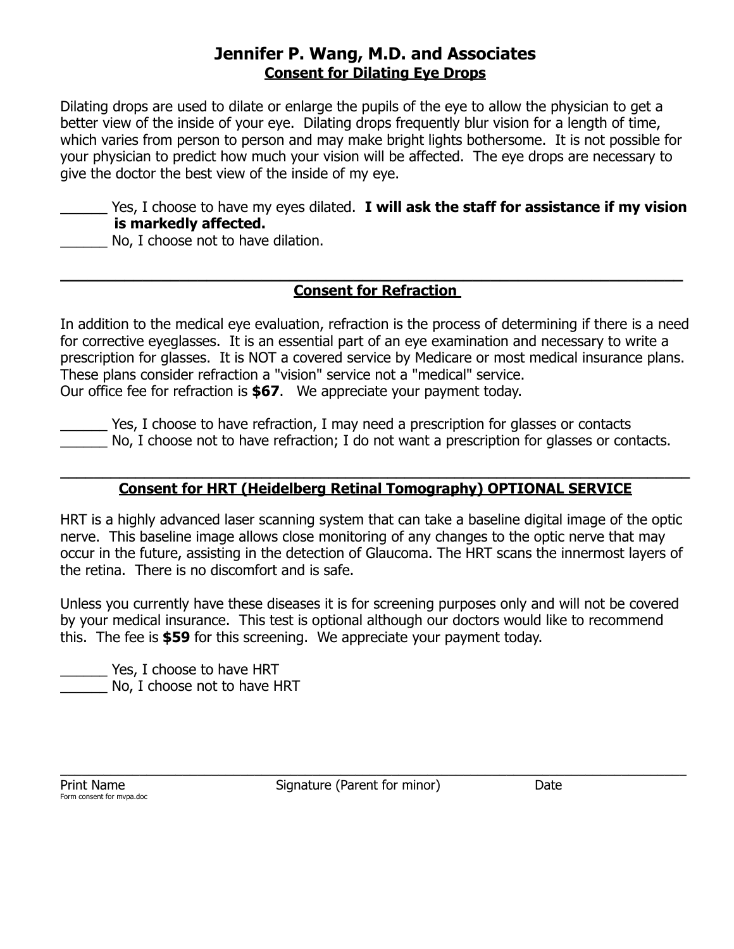## **Jennifer P. Wang, M.D. and Associates Consent for Dilating Eye Drops**

Dilating drops are used to dilate or enlarge the pupils of the eye to allow the physician to get a better view of the inside of your eye. Dilating drops frequently blur vision for a length of time, which varies from person to person and may make bright lights bothersome. It is not possible for your physician to predict how much your vision will be affected. The eye drops are necessary to give the doctor the best view of the inside of my eye.

\_\_\_\_\_\_ Yes, I choose to have my eyes dilated. **I will ask the staff for assistance if my vision is markedly affected.**

No, I choose not to have dilation.

### **\_\_\_\_\_\_\_\_\_\_\_\_\_\_\_\_\_\_\_\_\_\_\_\_\_\_\_\_\_\_\_\_\_\_\_\_\_\_\_\_\_\_\_\_\_\_\_\_\_\_\_\_\_\_\_\_\_\_\_\_\_\_\_\_\_\_\_\_ Consent for Refraction**

In addition to the medical eye evaluation, refraction is the process of determining if there is a need for corrective eyeglasses. It is an essential part of an eye examination and necessary to write a prescription for glasses. It is NOT a covered service by Medicare or most medical insurance plans. These plans consider refraction a "vision" service not a "medical" service. Our office fee for refraction is **\$67**. We appreciate your payment today.

\_\_\_\_\_\_ Yes, I choose to have refraction, I may need a prescription for glasses or contacts No, I choose not to have refraction; I do not want a prescription for glasses or contacts.

#### **\_\_\_\_\_\_\_\_\_\_\_\_\_\_\_\_\_\_\_\_\_\_\_\_\_\_\_\_\_\_\_\_\_\_\_\_\_\_\_\_\_\_\_\_\_\_\_\_\_\_\_\_\_\_\_\_\_\_\_\_\_\_\_\_\_\_\_\_\_\_\_\_\_\_\_ Consent for HRT (Heidelberg Retinal Tomography) OPTIONAL SERVICE**

HRT is a highly advanced laser scanning system that can take a baseline digital image of the optic nerve. This baseline image allows close monitoring of any changes to the optic nerve that may occur in the future, assisting in the detection of Glaucoma. The HRT scans the innermost layers of the retina. There is no discomfort and is safe.

Unless you currently have these diseases it is for screening purposes only and will not be covered by your medical insurance. This test is optional although our doctors would like to recommend this. The fee is **\$59** for this screening. We appreciate your payment today.

\_\_\_\_\_\_ Yes, I choose to have HRT No, I choose not to have HRT

Form consent for mvpa.doc

Print Name **Signature (Parent for minor)** Date

 $\_$  , and the set of the set of the set of the set of the set of the set of the set of the set of the set of the set of the set of the set of the set of the set of the set of the set of the set of the set of the set of th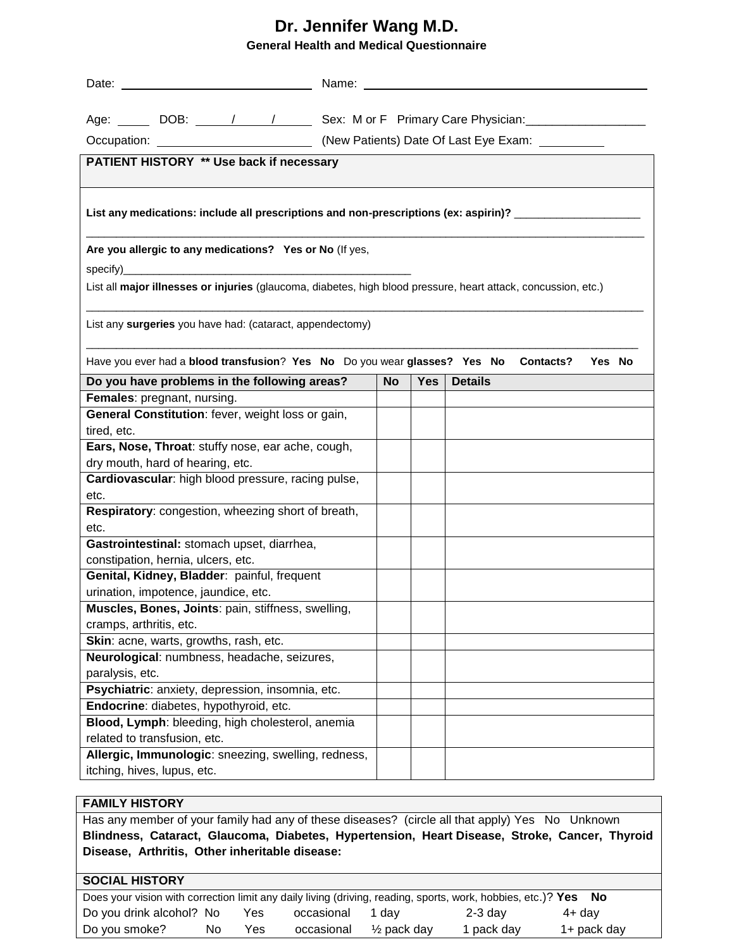### **Dr. Jennifer Wang M.D. General Health and Medical Questionnaire**

|                                                                                                                | Age: ______ DOB: _____/ ____/ ______ Sex: M or F Primary Care Physician: _____________ |           |            |                |  |  |  |
|----------------------------------------------------------------------------------------------------------------|----------------------------------------------------------------------------------------|-----------|------------|----------------|--|--|--|
|                                                                                                                |                                                                                        |           |            |                |  |  |  |
| PATIENT HISTORY ** Use back if necessary                                                                       |                                                                                        |           |            |                |  |  |  |
|                                                                                                                |                                                                                        |           |            |                |  |  |  |
| List any medications: include all prescriptions and non-prescriptions (ex: aspirin)? ______________            |                                                                                        |           |            |                |  |  |  |
| Are you allergic to any medications? Yes or No (If yes,                                                        |                                                                                        |           |            |                |  |  |  |
| List all major illnesses or injuries (glaucoma, diabetes, high blood pressure, heart attack, concussion, etc.) |                                                                                        |           |            |                |  |  |  |
|                                                                                                                |                                                                                        |           |            |                |  |  |  |
| List any surgeries you have had: (cataract, appendectomy)                                                      |                                                                                        |           |            |                |  |  |  |
| Have you ever had a blood transfusion? Yes No Do you wear glasses? Yes No<br><b>Contacts?</b><br>Yes No        |                                                                                        |           |            |                |  |  |  |
| Do you have problems in the following areas?                                                                   |                                                                                        | <b>No</b> | <b>Yes</b> | <b>Details</b> |  |  |  |
| Females: pregnant, nursing.                                                                                    |                                                                                        |           |            |                |  |  |  |
| General Constitution: fever, weight loss or gain,<br>tired, etc.                                               |                                                                                        |           |            |                |  |  |  |
| Ears, Nose, Throat: stuffy nose, ear ache, cough,                                                              |                                                                                        |           |            |                |  |  |  |
| dry mouth, hard of hearing, etc.                                                                               |                                                                                        |           |            |                |  |  |  |
| Cardiovascular: high blood pressure, racing pulse,                                                             |                                                                                        |           |            |                |  |  |  |
| etc.                                                                                                           |                                                                                        |           |            |                |  |  |  |
| Respiratory: congestion, wheezing short of breath,                                                             |                                                                                        |           |            |                |  |  |  |
| etc.                                                                                                           |                                                                                        |           |            |                |  |  |  |
| Gastrointestinal: stomach upset, diarrhea,                                                                     |                                                                                        |           |            |                |  |  |  |
| constipation, hernia, ulcers, etc.                                                                             |                                                                                        |           |            |                |  |  |  |
| Genital, Kidney, Bladder: painful, frequent                                                                    |                                                                                        |           |            |                |  |  |  |
| urination, impotence, jaundice, etc.                                                                           |                                                                                        |           |            |                |  |  |  |
| Muscles, Bones, Joints: pain, stiffness, swelling,                                                             |                                                                                        |           |            |                |  |  |  |
| cramps, arthritis, etc.                                                                                        |                                                                                        |           |            |                |  |  |  |
| Skin: acne, warts, growths, rash, etc.                                                                         |                                                                                        |           |            |                |  |  |  |
| Neurological: numbness, headache, seizures,                                                                    |                                                                                        |           |            |                |  |  |  |
| paralysis, etc.                                                                                                |                                                                                        |           |            |                |  |  |  |
| Psychiatric: anxiety, depression, insomnia, etc.                                                               |                                                                                        |           |            |                |  |  |  |
| Endocrine: diabetes, hypothyroid, etc.                                                                         |                                                                                        |           |            |                |  |  |  |
| Blood, Lymph: bleeding, high cholesterol, anemia<br>related to transfusion, etc.                               |                                                                                        |           |            |                |  |  |  |
| Allergic, Immunologic: sneezing, swelling, redness,                                                            |                                                                                        |           |            |                |  |  |  |
| itching, hives, lupus, etc.                                                                                    |                                                                                        |           |            |                |  |  |  |
|                                                                                                                |                                                                                        |           |            |                |  |  |  |

#### **FAMILY HISTORY**

Has any member of your family had any of these diseases? (circle all that apply) Yes No Unknown **Blindness, Cataract, Glaucoma, Diabetes, Hypertension, Heart Disease, Stroke, Cancer, Thyroid Disease, Arthritis, Other inheritable disease:**

#### **SOCIAL HISTORY**

| Does your vision with correction limit any daily living (driving, reading, sports, work, hobbies, etc.)? Yes No |     |     |            |            |            |             |
|-----------------------------------------------------------------------------------------------------------------|-----|-----|------------|------------|------------|-------------|
| Do you drink alcohol? No                                                                                        |     | Yes | occasional | 1 dav      | $2-3$ day  | 4+ day      |
| Do you smoke?                                                                                                   | No. | Yes | occasional | ½ pack day | 1 pack day | 1+ pack day |